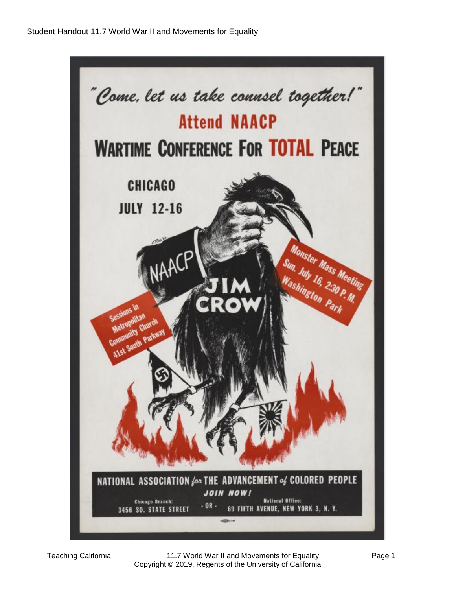